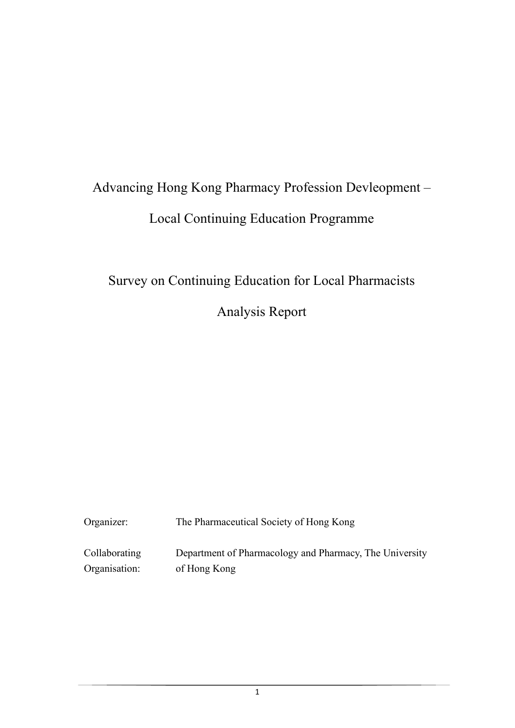# Advancing Hong Kong Pharmacy Profession Devleopment – Local Continuing Education Programme

## Survey on Continuing Education for Local Pharmacists

Analysis Report

| Organizer:    | The Pharmaceutical Society of Hong Kong                 |  |  |
|---------------|---------------------------------------------------------|--|--|
| Collaborating | Department of Pharmacology and Pharmacy, The University |  |  |
| Organisation: | of Hong Kong                                            |  |  |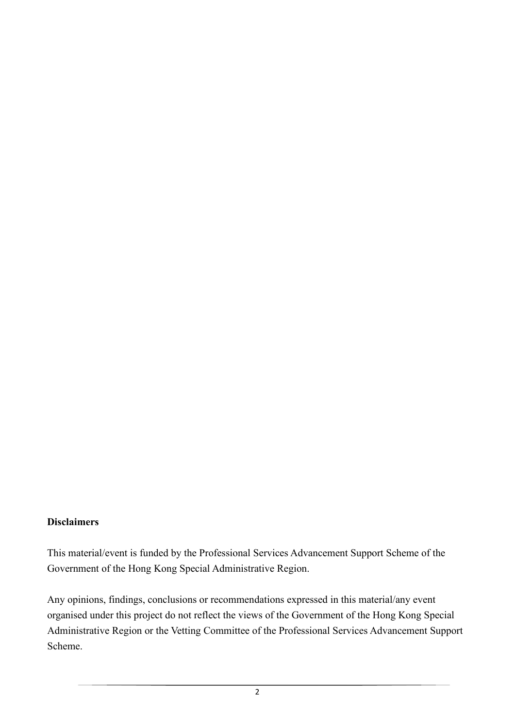## **Disclaimers**

This material/event is funded by the Professional Services Advancement Support Scheme of the Government of the Hong Kong Special Administrative Region.

Any opinions, findings, conclusions or recommendations expressed in this material/any event organised under this project do not reflect the views of the Government of the Hong Kong Special Administrative Region or the Vetting Committee of the Professional Services Advancement Support Scheme.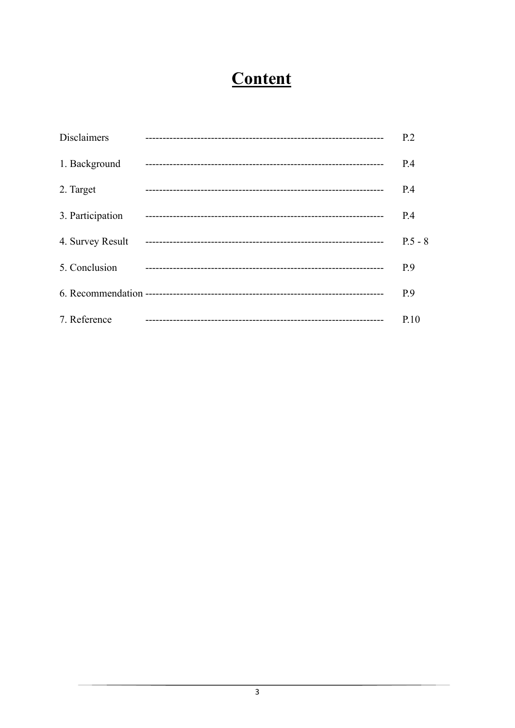## Content

| <b>Disclaimers</b> | P <sub>2</sub> |
|--------------------|----------------|
| 1. Background      | P.4            |
| 2. Target          | P.4            |
| 3. Participation   | P.4            |
| 4. Survey Result   | $P.5 - 8$      |
| 5. Conclusion      | P.9            |
|                    | P.9            |
| 7. Reference       | P.10           |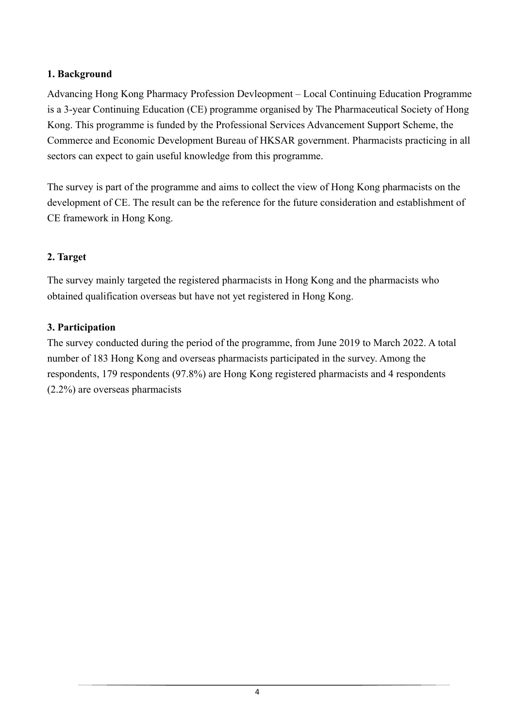## **1. Background**

Advancing Hong Kong Pharmacy Profession Devleopment – Local Continuing Education Programme is a 3-year Continuing Education (CE) programme organised by The Pharmaceutical Society of Hong Kong. This programme is funded by the Professional Services Advancement Support Scheme, the Commerce and Economic Development Bureau of HKSAR government. Pharmacists practicing in all sectors can expect to gain useful knowledge from this programme.

The survey is part of the programme and aims to collect the view of Hong Kong pharmacists on the development of CE. The result can be the reference for the future consideration and establishment of CE framework in Hong Kong.

## **2. Target**

The survey mainly targeted the registered pharmacists in Hong Kong and the pharmacists who obtained qualification overseas but have not yet registered in Hong Kong.

## **3. Participation**

The survey conducted during the period of the programme, from June 2019 to March 2022. A total number of 183 Hong Kong and overseas pharmacists participated in the survey. Among the respondents, 179 respondents (97.8%) are Hong Kong registered pharmacists and 4 respondents (2.2%) are overseas pharmacists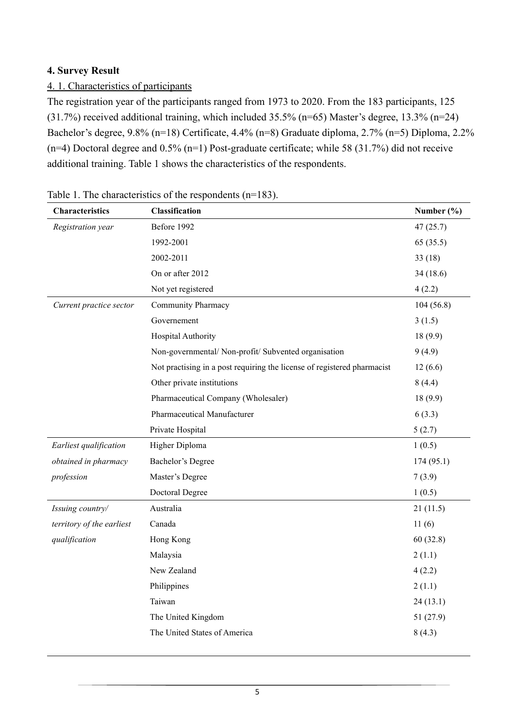## **4. Survey Result**

### 4. 1. Characteristics of participants

The registration year of the participants ranged from 1973 to 2020. From the 183 participants, 125 (31.7%) received additional training, which included 35.5% (n=65) Master's degree, 13.3% (n=24) Bachelor's degree, 9.8% (n=18) Certificate, 4.4% (n=8) Graduate diploma, 2.7% (n=5) Diploma, 2.2%  $(n=4)$  Doctoral degree and 0.5%  $(n=1)$  Post-graduate certificate; while 58 (31.7%) did not receive additional training. Table 1 shows the characteristics of the respondents.

| Characteristics           | Classification                                                          | Number $(\% )$ |
|---------------------------|-------------------------------------------------------------------------|----------------|
| Registration year         | Before 1992                                                             | 47(25.7)       |
|                           | 1992-2001                                                               | 65(35.5)       |
|                           | 2002-2011                                                               | 33(18)         |
|                           | On or after 2012                                                        | 34(18.6)       |
|                           | Not yet registered                                                      | 4(2.2)         |
| Current practice sector   | Community Pharmacy                                                      | 104(56.8)      |
|                           | Governement                                                             | 3(1.5)         |
|                           | Hospital Authority                                                      | 18(9.9)        |
|                           | Non-governmental/ Non-profit/ Subvented organisation                    | 9(4.9)         |
|                           | Not practising in a post requiring the license of registered pharmacist | 12(6.6)        |
|                           | Other private institutions                                              | 8(4.4)         |
|                           | Pharmaceutical Company (Wholesaler)                                     | 18(9.9)        |
|                           | Pharmaceutical Manufacturer                                             | 6(3.3)         |
|                           | Private Hospital                                                        | 5(2.7)         |
| Earliest qualification    | Higher Diploma                                                          | 1(0.5)         |
| obtained in pharmacy      | Bachelor's Degree                                                       | 174(95.1)      |
| profession                | Master's Degree                                                         | 7(3.9)         |
|                           | Doctoral Degree                                                         | 1(0.5)         |
| Issuing country/          | Australia                                                               | 21(11.5)       |
| territory of the earliest | Canada                                                                  | 11(6)          |
| qualification             | Hong Kong                                                               | 60(32.8)       |
|                           | Malaysia                                                                | 2(1.1)         |
|                           | New Zealand                                                             | 4(2.2)         |
|                           | Philippines                                                             | 2(1.1)         |
|                           | Taiwan                                                                  | 24(13.1)       |
|                           | The United Kingdom                                                      | 51 (27.9)      |
|                           |                                                                         |                |

Table 1. The characteristics of the respondents (n=183).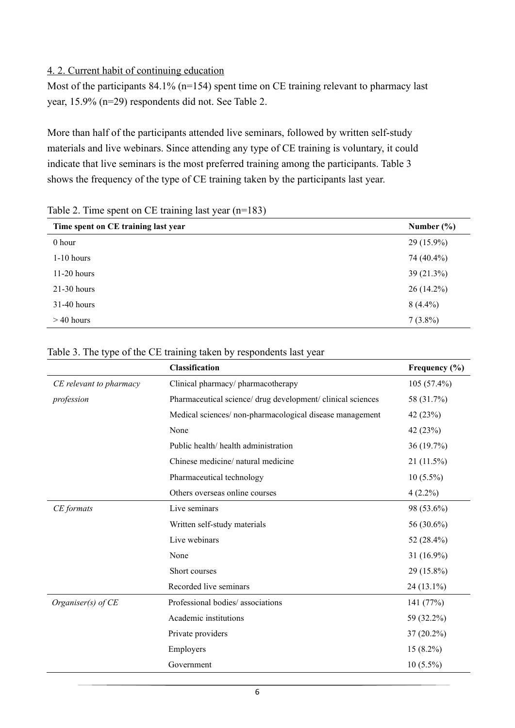#### 4. 2. Current habit of continuing education

Most of the participants 84.1% (n=154) spent time on CE training relevant to pharmacy last year, 15.9% (n=29) respondents did not. See Table 2.

More than half of the participants attended live seminars, followed by written self-study materials and live webinars. Since attending any type of CE training is voluntary, it could indicate that live seminars is the most preferred training among the participants. Table 3 shows the frequency of the type of CE training taken by the participants last year.

| ີ                                   |                |
|-------------------------------------|----------------|
| Time spent on CE training last year | Number $(\% )$ |
| 0 hour                              | $29(15.9\%)$   |
| $1-10$ hours                        | 74 (40.4%)     |
| $11-20$ hours                       | $39(21.3\%)$   |
| $21-30$ hours                       | $26(14.2\%)$   |
| 31-40 hours                         | $8(4.4\%)$     |
| $>$ 40 hours                        | $7(3.8\%)$     |

Table 2. Time spent on CE training last year (n=183)

|                         | Classification                                              | Frequency $(\% )$ |
|-------------------------|-------------------------------------------------------------|-------------------|
| CE relevant to pharmacy | Clinical pharmacy/ pharmacotherapy                          | $105(57.4\%)$     |
| profession              | Pharmaceutical science/ drug development/ clinical sciences | 58 (31.7%)        |
|                         | Medical sciences/non-pharmacological disease management     | 42 (23%)          |
|                         | None                                                        | 42 (23%)          |
|                         | Public health/ health administration                        | 36 (19.7%)        |
|                         | Chinese medicine/ natural medicine                          | 21 (11.5%)        |
|                         | Pharmaceutical technology                                   | $10(5.5\%)$       |
|                         | Others overseas online courses                              | $4(2.2\%)$        |
| CE formats              | Live seminars                                               | 98 (53.6%)        |
|                         | Written self-study materials                                | 56 (30.6%)        |
|                         | Live webinars                                               | 52 (28.4%)        |
|                         | None                                                        | 31 (16.9%)        |
|                         | Short courses                                               | 29 (15.8%)        |
|                         | Recorded live seminars                                      | 24 (13.1%)        |
| Organiser(s) of CE      | Professional bodies/associations                            | 141 (77%)         |
|                         | Academic institutions                                       | 59 (32.2%)        |
|                         | Private providers                                           | 37 (20.2%)        |
|                         | Employers                                                   | $15(8.2\%)$       |
|                         | Government                                                  | $10(5.5\%)$       |

#### Table 3. The type of the CE training taken by respondents last year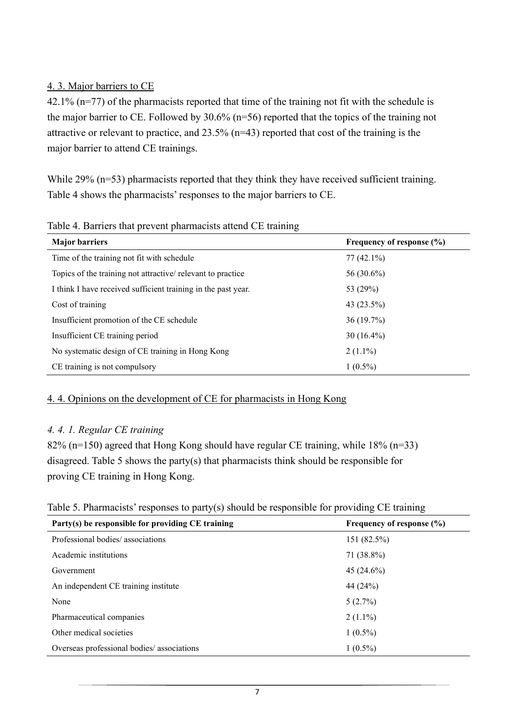## 4. 3. Major barriers to CE

42.1% (n=77) of the pharmacists reported that time of the training not fit with the schedule is the major barrier to CE. Followed by 30.6% (n=56) reported that the topics of the training not attractive or relevant to practice, and 23.5% (n=43) reported that cost of the training is the major barrier to attend CE trainings.

While 29% (n=53) pharmacists reported that they think they have received sufficient training. Table 4 shows the pharmacists' responses to the major barriers to CE.

| <b>Major barriers</b>                                         | Frequency of response $(\% )$ |
|---------------------------------------------------------------|-------------------------------|
| Time of the training not fit with schedule                    | $77(42.1\%)$                  |
| Topics of the training not attractive/relevant to practice    | 56 (30.6%)                    |
| I think I have received sufficient training in the past year. | 53 (29%)                      |
| Cost of training                                              | 43 (23.5%)                    |
| Insufficient promotion of the CE schedule                     | 36(19.7%)                     |
| Insufficient CE training period                               | $30(16.4\%)$                  |
| No systematic design of CE training in Hong Kong              | $2(1.1\%)$                    |
| CE training is not compulsory                                 | $1(0.5\%)$                    |

Table 4. Barriers that prevent pharmacists attend CE training

#### 4. 4. Opinions on the development of CE for pharmacists in Hong Kong

## *4. 4. 1. Regular CE training*

82% (n=150) agreed that Hong Kong should have regular CE training, while 18% (n=33) disagreed. Table 5 shows the party(s) that pharmacists think should be responsible for proving CE training in Hong Kong.

|  |  | Table 5. Pharmacists' responses to party(s) should be responsible for providing CE training |
|--|--|---------------------------------------------------------------------------------------------|
|  |  |                                                                                             |

| Party(s) be responsible for providing CE training | Frequency of response $(\% )$ |
|---------------------------------------------------|-------------------------------|
| Professional bodies/associations                  | 151 (82.5%)                   |
| Academic institutions                             | 71 (38.8%)                    |
| Government                                        | $45(24.6\%)$                  |
| An independent CE training institute              | 44 (24%)                      |
| None                                              | 5(2.7%)                       |
| Pharmaceutical companies                          | $2(1.1\%)$                    |
| Other medical societies                           | $1(0.5\%)$                    |
| Overseas professional bodies/associations         | $1(0.5\%)$                    |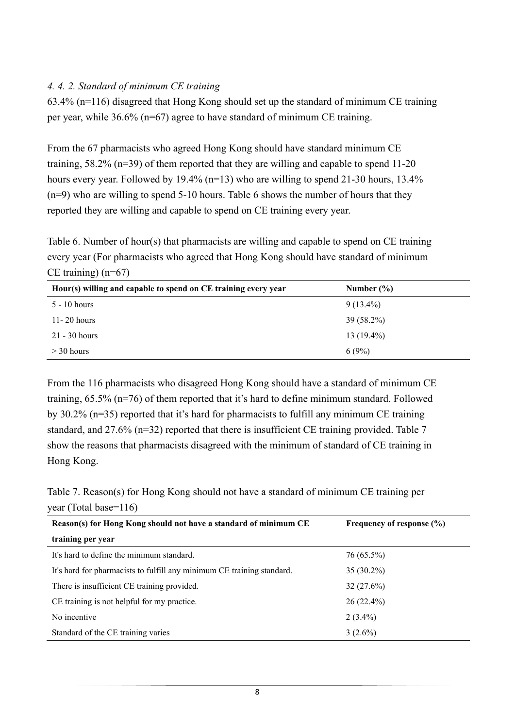#### *4. 4. 2. Standard of minimum CE training*

63.4% (n=116) disagreed that Hong Kong should set up the standard of minimum CE training per year, while 36.6% (n=67) agree to have standard of minimum CE training.

From the 67 pharmacists who agreed Hong Kong should have standard minimum CE training, 58.2% (n=39) of them reported that they are willing and capable to spend 11-20 hours every year. Followed by 19.4% (n=13) who are willing to spend 21-30 hours, 13.4% (n=9) who are willing to spend 5-10 hours. Table 6 shows the number of hours that they reported they are willing and capable to spend on CE training every year.

Table 6. Number of hour(s) that pharmacists are willing and capable to spend on CE training every year (For pharmacists who agreed that Hong Kong should have standard of minimum CE training) (n=67)

| Hour(s) willing and capable to spend on CE training every year | Number $(\% )$ |
|----------------------------------------------------------------|----------------|
| $5 - 10$ hours                                                 | $9(13.4\%)$    |
| $11 - 20$ hours                                                | 39 (58.2%)     |
| $21 - 30$ hours                                                | $13(19.4\%)$   |
| $>$ 30 hours                                                   | 6(9%)          |

From the 116 pharmacists who disagreed Hong Kong should have a standard of minimum CE training, 65.5% (n=76) of them reported that it's hard to define minimum standard. Followed by 30.2% (n=35) reported that it's hard for pharmacists to fulfill any minimum CE training standard, and 27.6% (n=32) reported that there is insufficient CE training provided. Table 7 show the reasons that pharmacists disagreed with the minimum of standard of CE training in Hong Kong.

Table 7. Reason(s) for Hong Kong should not have a standard of minimum CE training per year (Total base=116)

| Reason(s) for Hong Kong should not have a standard of minimum CE       | Frequency of response $(\% )$ |
|------------------------------------------------------------------------|-------------------------------|
| training per year                                                      |                               |
| It's hard to define the minimum standard.                              | 76 (65.5%)                    |
| It's hard for pharmacists to fulfill any minimum CE training standard. | $35(30.2\%)$                  |
| There is insufficient CE training provided.                            | 32(27.6%)                     |
| CE training is not helpful for my practice.                            | $26(22.4\%)$                  |
| No incentive                                                           | $2(3.4\%)$                    |
| Standard of the CE training varies                                     | $3(2.6\%)$                    |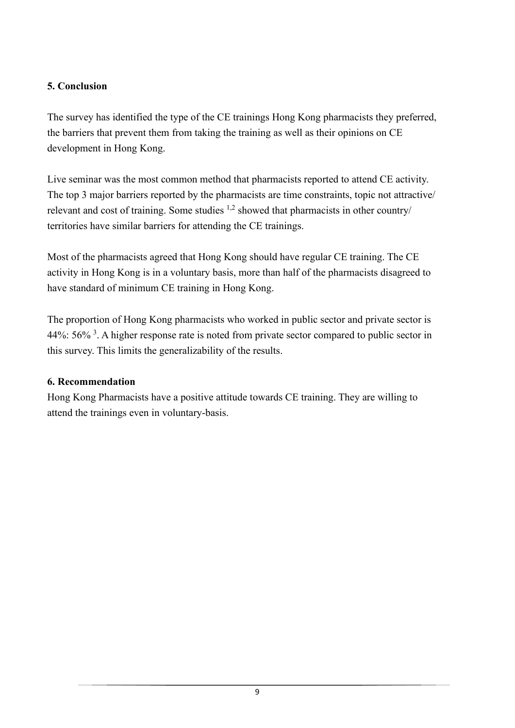## **5. Conclusion**

The survey has identified the type of the CE trainings Hong Kong pharmacists they preferred, the barriers that prevent them from taking the training as well as their opinions on CE development in Hong Kong.

Live seminar was the most common method that pharmacists reported to attend CE activity. The top 3 major barriers reported by the pharmacists are time constraints, topic not attractive/ relevant and cost of training. Some studies  $1,2$  showed that pharmacists in other country/ territories have similar barriers for attending the CE trainings.

Most of the pharmacists agreed that Hong Kong should have regular CE training. The CE activity in Hong Kong is in a voluntary basis, more than half of the pharmacists disagreed to have standard of minimum CE training in Hong Kong.

The proportion of Hong Kong pharmacists who worked in public sector and private sector is 44%:  $56\%$ <sup>3</sup>. A higher response rate is noted from private sector compared to public sector in this survey. This limits the generalizability of the results.

## **6. Recommendation**

Hong Kong Pharmacists have a positive attitude towards CE training. They are willing to attend the trainings even in voluntary-basis.